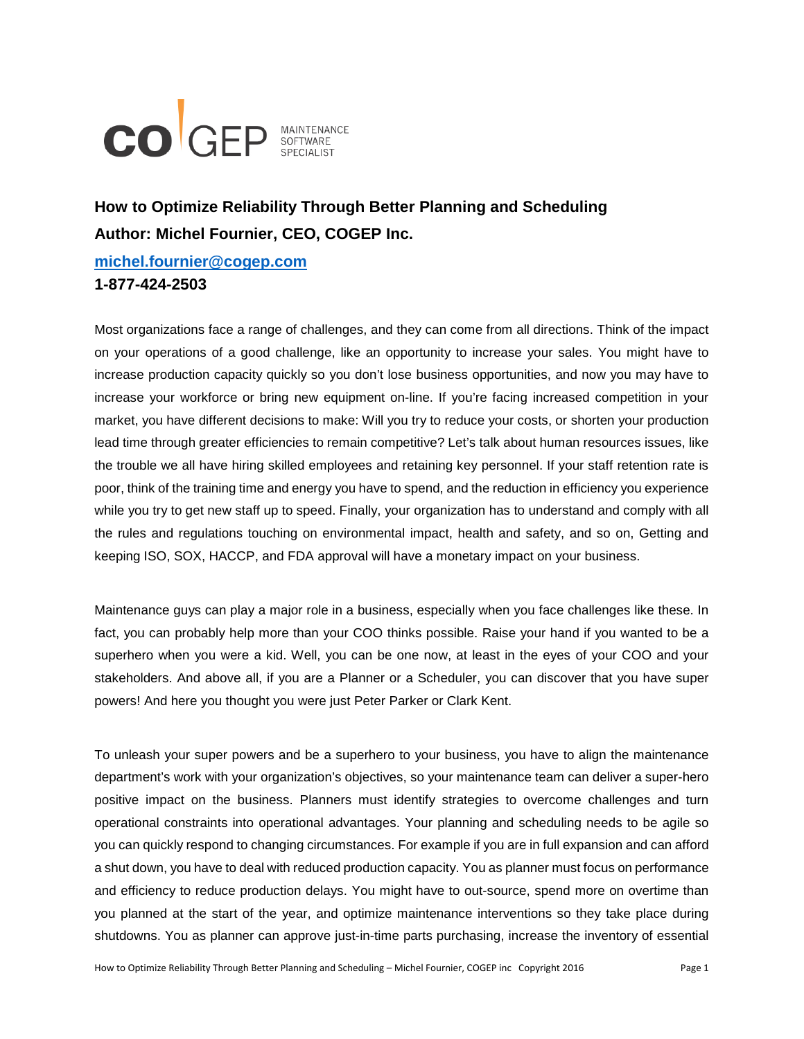

# **How to Optimize Reliability Through Better Planning and Scheduling Author: Michel Fournier, CEO, COGEP Inc.**

**[michel.fournier@cogep.com](mailto:michel.fournier@cogep.com)**

# **1-877-424-2503**

Most organizations face a range of challenges, and they can come from all directions. Think of the impact on your operations of a good challenge, like an opportunity to increase your sales. You might have to increase production capacity quickly so you don't lose business opportunities, and now you may have to increase your workforce or bring new equipment on-line. If you're facing increased competition in your market, you have different decisions to make: Will you try to reduce your costs, or shorten your production lead time through greater efficiencies to remain competitive? Let's talk about human resources issues, like the trouble we all have hiring skilled employees and retaining key personnel. If your staff retention rate is poor, think of the training time and energy you have to spend, and the reduction in efficiency you experience while you try to get new staff up to speed. Finally, your organization has to understand and comply with all the rules and regulations touching on environmental impact, health and safety, and so on, Getting and keeping ISO, SOX, HACCP, and FDA approval will have a monetary impact on your business.

Maintenance guys can play a major role in a business, especially when you face challenges like these. In fact, you can probably help more than your COO thinks possible. Raise your hand if you wanted to be a superhero when you were a kid. Well, you can be one now, at least in the eyes of your COO and your stakeholders. And above all, if you are a Planner or a Scheduler, you can discover that you have super powers! And here you thought you were just Peter Parker or Clark Kent.

To unleash your super powers and be a superhero to your business, you have to align the maintenance department's work with your organization's objectives, so your maintenance team can deliver a super-hero positive impact on the business. Planners must identify strategies to overcome challenges and turn operational constraints into operational advantages. Your planning and scheduling needs to be agile so you can quickly respond to changing circumstances. For example if you are in full expansion and can afford a shut down, you have to deal with reduced production capacity. You as planner must focus on performance and efficiency to reduce production delays. You might have to out-source, spend more on overtime than you planned at the start of the year, and optimize maintenance interventions so they take place during shutdowns. You as planner can approve just-in-time parts purchasing, increase the inventory of essential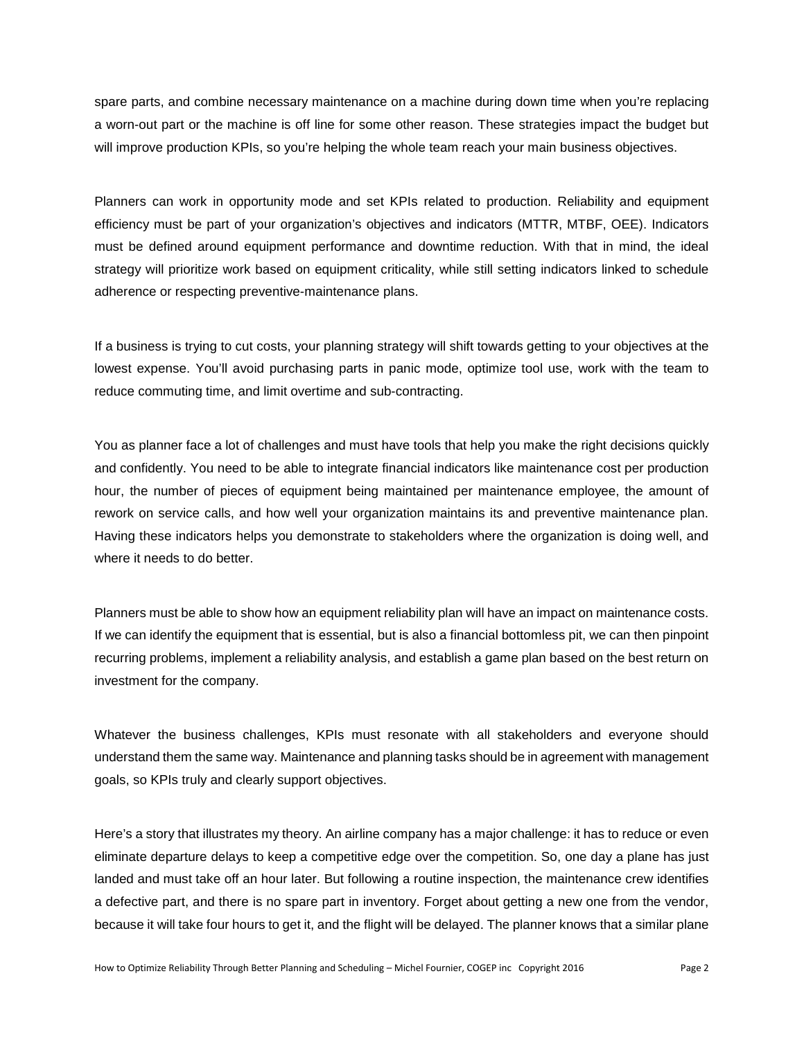spare parts, and combine necessary maintenance on a machine during down time when you're replacing a worn-out part or the machine is off line for some other reason. These strategies impact the budget but will improve production KPIs, so you're helping the whole team reach your main business objectives.

Planners can work in opportunity mode and set KPIs related to production. Reliability and equipment efficiency must be part of your organization's objectives and indicators (MTTR, MTBF, OEE). Indicators must be defined around equipment performance and downtime reduction. With that in mind, the ideal strategy will prioritize work based on equipment criticality, while still setting indicators linked to schedule adherence or respecting preventive-maintenance plans.

If a business is trying to cut costs, your planning strategy will shift towards getting to your objectives at the lowest expense. You'll avoid purchasing parts in panic mode, optimize tool use, work with the team to reduce commuting time, and limit overtime and sub-contracting.

You as planner face a lot of challenges and must have tools that help you make the right decisions quickly and confidently. You need to be able to integrate financial indicators like maintenance cost per production hour, the number of pieces of equipment being maintained per maintenance employee, the amount of rework on service calls, and how well your organization maintains its and preventive maintenance plan. Having these indicators helps you demonstrate to stakeholders where the organization is doing well, and where it needs to do better.

Planners must be able to show how an equipment reliability plan will have an impact on maintenance costs. If we can identify the equipment that is essential, but is also a financial bottomless pit, we can then pinpoint recurring problems, implement a reliability analysis, and establish a game plan based on the best return on investment for the company.

Whatever the business challenges, KPIs must resonate with all stakeholders and everyone should understand them the same way. Maintenance and planning tasks should be in agreement with management goals, so KPIs truly and clearly support objectives.

Here's a story that illustrates my theory. An airline company has a major challenge: it has to reduce or even eliminate departure delays to keep a competitive edge over the competition. So, one day a plane has just landed and must take off an hour later. But following a routine inspection, the maintenance crew identifies a defective part, and there is no spare part in inventory. Forget about getting a new one from the vendor, because it will take four hours to get it, and the flight will be delayed. The planner knows that a similar plane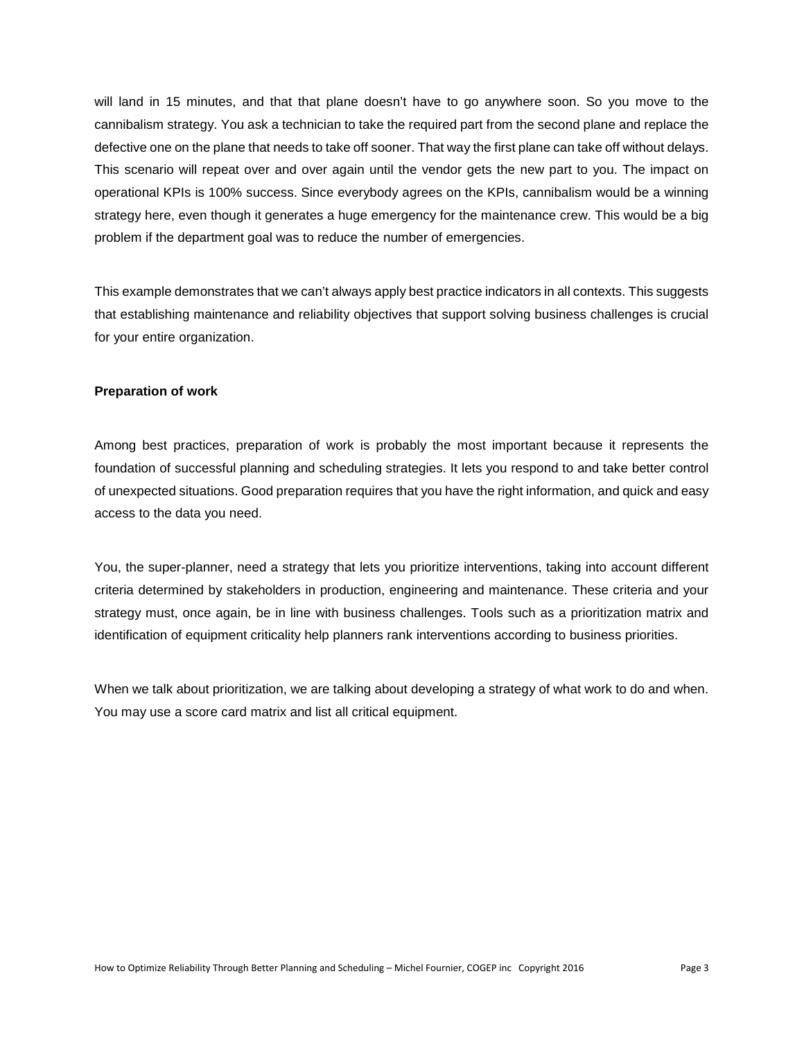will land in 15 minutes, and that that plane doesn't have to go anywhere soon. So you move to the cannibalism strategy. You ask a technician to take the required part from the second plane and replace the defective one on the plane that needs to take off sooner. That way the first plane can take off without delays. This scenario will repeat over and over again until the vendor gets the new part to you. The impact on operational KPIs is 100% success. Since everybody agrees on the KPIs, cannibalism would be a winning strategy here, even though it generates a huge emergency for the maintenance crew. This would be a big problem if the department goal was to reduce the number of emergencies.

This example demonstrates that we can't always apply best practice indicators in all contexts. This suggests that establishing maintenance and reliability objectives that support solving business challenges is crucial for your entire organization.

#### **Preparation of work**

Among best practices, preparation of work is probably the most important because it represents the foundation of successful planning and scheduling strategies. It lets you respond to and take better control of unexpected situations. Good preparation requires that you have the right information, and quick and easy access to the data you need.

You, the super-planner, need a strategy that lets you prioritize interventions, taking into account different criteria determined by stakeholders in production, engineering and maintenance. These criteria and your strategy must, once again, be in line with business challenges. Tools such as a prioritization matrix and identification of equipment criticality help planners rank interventions according to business priorities.

When we talk about prioritization, we are talking about developing a strategy of what work to do and when. You may use a score card matrix and list all critical equipment.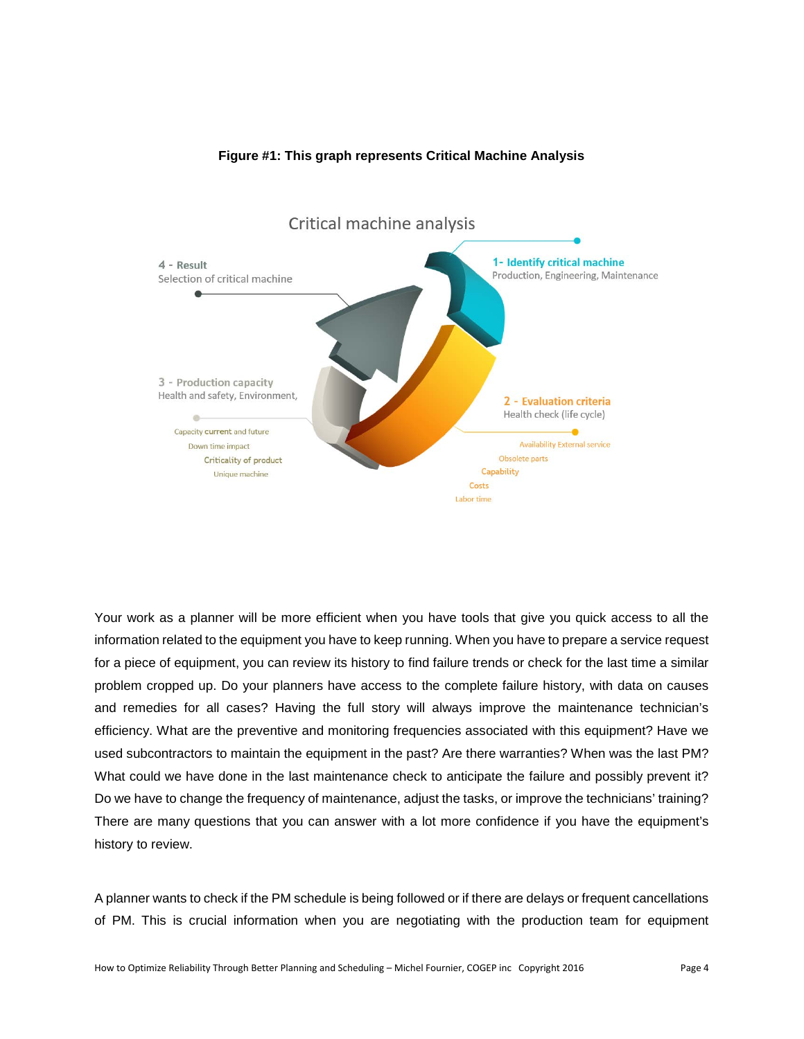

## **Figure #1: This graph represents Critical Machine Analysis**

Your work as a planner will be more efficient when you have tools that give you quick access to all the information related to the equipment you have to keep running. When you have to prepare a service request for a piece of equipment, you can review its history to find failure trends or check for the last time a similar problem cropped up. Do your planners have access to the complete failure history, with data on causes and remedies for all cases? Having the full story will always improve the maintenance technician's efficiency. What are the preventive and monitoring frequencies associated with this equipment? Have we used subcontractors to maintain the equipment in the past? Are there warranties? When was the last PM? What could we have done in the last maintenance check to anticipate the failure and possibly prevent it? Do we have to change the frequency of maintenance, adjust the tasks, or improve the technicians' training? There are many questions that you can answer with a lot more confidence if you have the equipment's history to review.

A planner wants to check if the PM schedule is being followed or if there are delays or frequent cancellations of PM. This is crucial information when you are negotiating with the production team for equipment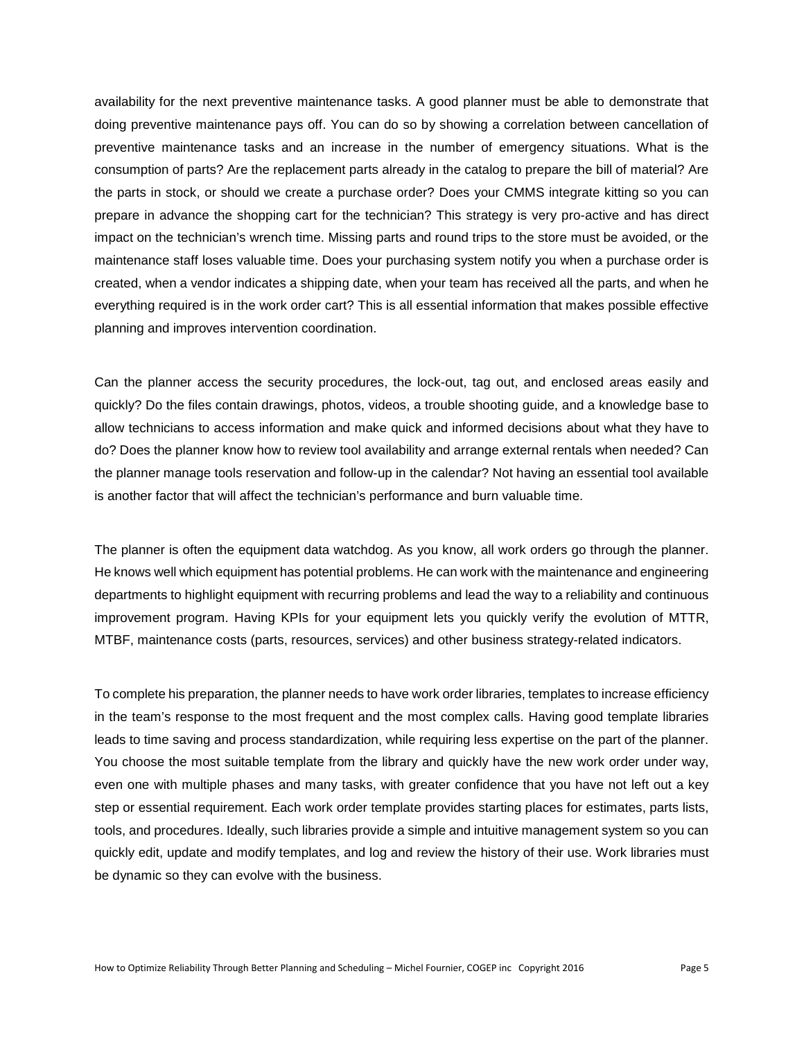availability for the next preventive maintenance tasks. A good planner must be able to demonstrate that doing preventive maintenance pays off. You can do so by showing a correlation between cancellation of preventive maintenance tasks and an increase in the number of emergency situations. What is the consumption of parts? Are the replacement parts already in the catalog to prepare the bill of material? Are the parts in stock, or should we create a purchase order? Does your CMMS integrate kitting so you can prepare in advance the shopping cart for the technician? This strategy is very pro-active and has direct impact on the technician's wrench time. Missing parts and round trips to the store must be avoided, or the maintenance staff loses valuable time. Does your purchasing system notify you when a purchase order is created, when a vendor indicates a shipping date, when your team has received all the parts, and when he everything required is in the work order cart? This is all essential information that makes possible effective planning and improves intervention coordination.

Can the planner access the security procedures, the lock-out, tag out, and enclosed areas easily and quickly? Do the files contain drawings, photos, videos, a trouble shooting guide, and a knowledge base to allow technicians to access information and make quick and informed decisions about what they have to do? Does the planner know how to review tool availability and arrange external rentals when needed? Can the planner manage tools reservation and follow-up in the calendar? Not having an essential tool available is another factor that will affect the technician's performance and burn valuable time.

The planner is often the equipment data watchdog. As you know, all work orders go through the planner. He knows well which equipment has potential problems. He can work with the maintenance and engineering departments to highlight equipment with recurring problems and lead the way to a reliability and continuous improvement program. Having KPIs for your equipment lets you quickly verify the evolution of MTTR, MTBF, maintenance costs (parts, resources, services) and other business strategy-related indicators.

To complete his preparation, the planner needs to have work order libraries, templates to increase efficiency in the team's response to the most frequent and the most complex calls. Having good template libraries leads to time saving and process standardization, while requiring less expertise on the part of the planner. You choose the most suitable template from the library and quickly have the new work order under way, even one with multiple phases and many tasks, with greater confidence that you have not left out a key step or essential requirement. Each work order template provides starting places for estimates, parts lists, tools, and procedures. Ideally, such libraries provide a simple and intuitive management system so you can quickly edit, update and modify templates, and log and review the history of their use. Work libraries must be dynamic so they can evolve with the business.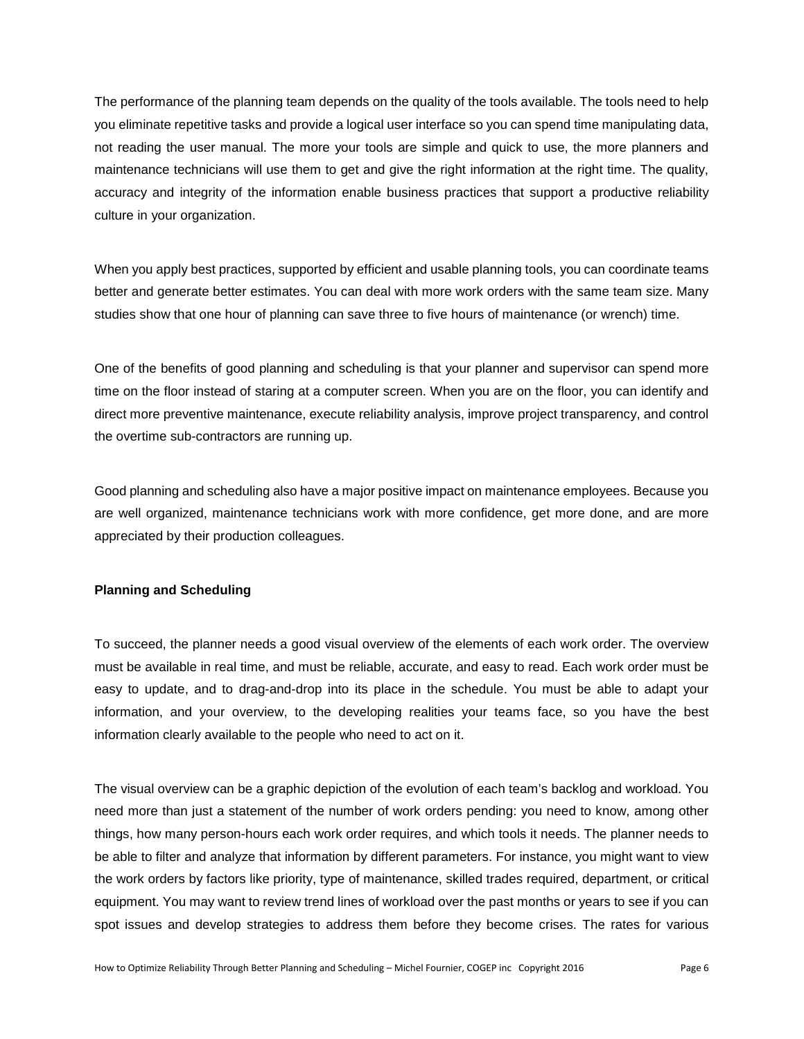The performance of the planning team depends on the quality of the tools available. The tools need to help you eliminate repetitive tasks and provide a logical user interface so you can spend time manipulating data, not reading the user manual. The more your tools are simple and quick to use, the more planners and maintenance technicians will use them to get and give the right information at the right time. The quality, accuracy and integrity of the information enable business practices that support a productive reliability culture in your organization.

When you apply best practices, supported by efficient and usable planning tools, you can coordinate teams better and generate better estimates. You can deal with more work orders with the same team size. Many studies show that one hour of planning can save three to five hours of maintenance (or wrench) time.

One of the benefits of good planning and scheduling is that your planner and supervisor can spend more time on the floor instead of staring at a computer screen. When you are on the floor, you can identify and direct more preventive maintenance, execute reliability analysis, improve project transparency, and control the overtime sub-contractors are running up.

Good planning and scheduling also have a major positive impact on maintenance employees. Because you are well organized, maintenance technicians work with more confidence, get more done, and are more appreciated by their production colleagues.

## **Planning and Scheduling**

To succeed, the planner needs a good visual overview of the elements of each work order. The overview must be available in real time, and must be reliable, accurate, and easy to read. Each work order must be easy to update, and to drag-and-drop into its place in the schedule. You must be able to adapt your information, and your overview, to the developing realities your teams face, so you have the best information clearly available to the people who need to act on it.

The visual overview can be a graphic depiction of the evolution of each team's backlog and workload. You need more than just a statement of the number of work orders pending: you need to know, among other things, how many person-hours each work order requires, and which tools it needs. The planner needs to be able to filter and analyze that information by different parameters. For instance, you might want to view the work orders by factors like priority, type of maintenance, skilled trades required, department, or critical equipment. You may want to review trend lines of workload over the past months or years to see if you can spot issues and develop strategies to address them before they become crises. The rates for various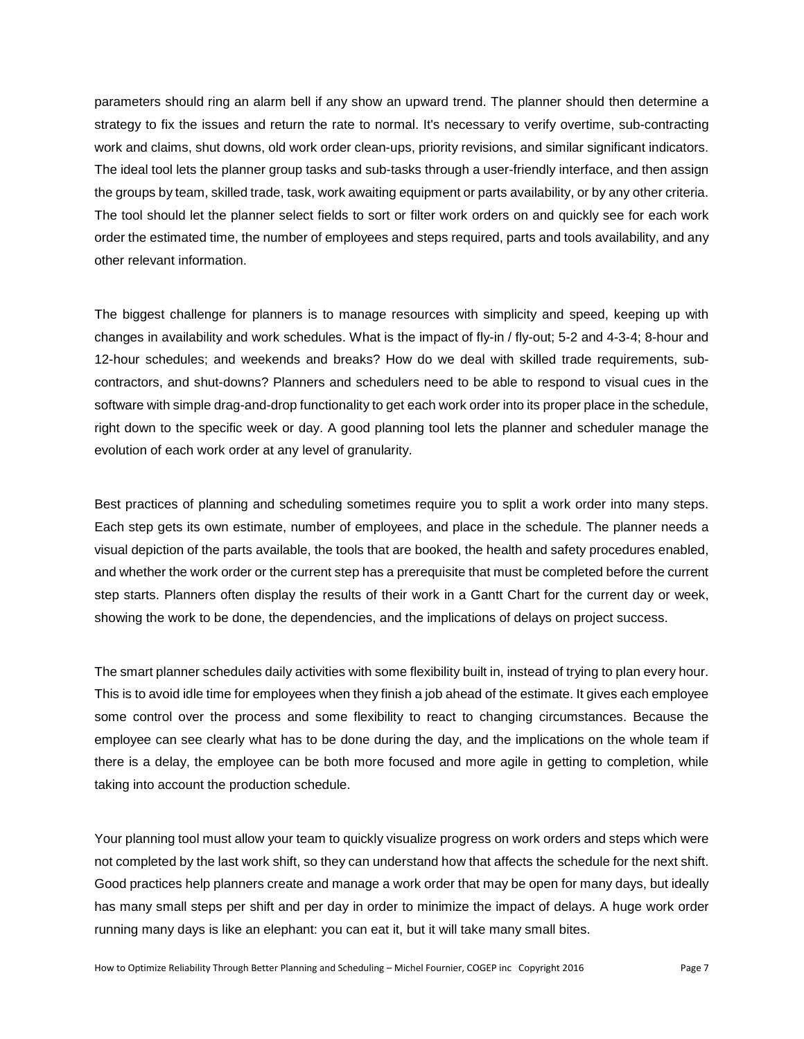parameters should ring an alarm bell if any show an upward trend. The planner should then determine a strategy to fix the issues and return the rate to normal. It's necessary to verify overtime, sub-contracting work and claims, shut downs, old work order clean-ups, priority revisions, and similar significant indicators. The ideal tool lets the planner group tasks and sub-tasks through a user-friendly interface, and then assign the groups by team, skilled trade, task, work awaiting equipment or parts availability, or by any other criteria. The tool should let the planner select fields to sort or filter work orders on and quickly see for each work order the estimated time, the number of employees and steps required, parts and tools availability, and any other relevant information.

The biggest challenge for planners is to manage resources with simplicity and speed, keeping up with changes in availability and work schedules. What is the impact of fly-in / fly-out; 5-2 and 4-3-4; 8-hour and 12-hour schedules; and weekends and breaks? How do we deal with skilled trade requirements, subcontractors, and shut-downs? Planners and schedulers need to be able to respond to visual cues in the software with simple drag-and-drop functionality to get each work order into its proper place in the schedule, right down to the specific week or day. A good planning tool lets the planner and scheduler manage the evolution of each work order at any level of granularity.

Best practices of planning and scheduling sometimes require you to split a work order into many steps. Each step gets its own estimate, number of employees, and place in the schedule. The planner needs a visual depiction of the parts available, the tools that are booked, the health and safety procedures enabled, and whether the work order or the current step has a prerequisite that must be completed before the current step starts. Planners often display the results of their work in a Gantt Chart for the current day or week, showing the work to be done, the dependencies, and the implications of delays on project success.

The smart planner schedules daily activities with some flexibility built in, instead of trying to plan every hour. This is to avoid idle time for employees when they finish a job ahead of the estimate. It gives each employee some control over the process and some flexibility to react to changing circumstances. Because the employee can see clearly what has to be done during the day, and the implications on the whole team if there is a delay, the employee can be both more focused and more agile in getting to completion, while taking into account the production schedule.

Your planning tool must allow your team to quickly visualize progress on work orders and steps which were not completed by the last work shift, so they can understand how that affects the schedule for the next shift. Good practices help planners create and manage a work order that may be open for many days, but ideally has many small steps per shift and per day in order to minimize the impact of delays. A huge work order running many days is like an elephant: you can eat it, but it will take many small bites.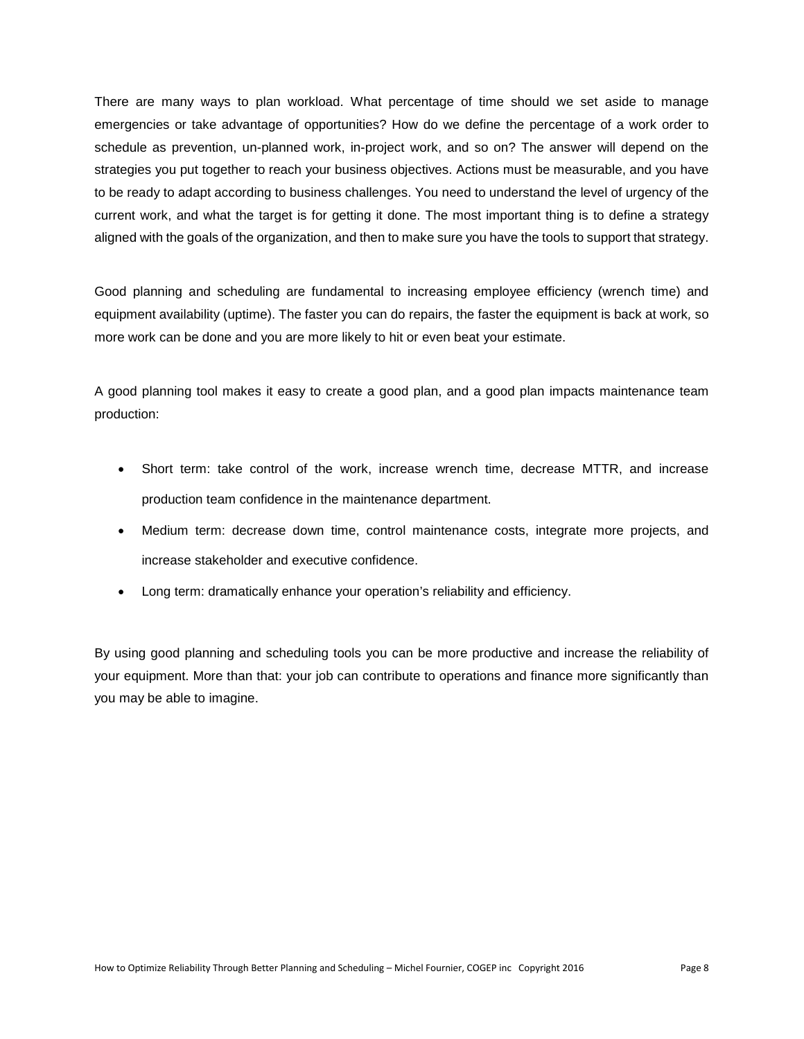There are many ways to plan workload. What percentage of time should we set aside to manage emergencies or take advantage of opportunities? How do we define the percentage of a work order to schedule as prevention, un-planned work, in-project work, and so on? The answer will depend on the strategies you put together to reach your business objectives. Actions must be measurable, and you have to be ready to adapt according to business challenges. You need to understand the level of urgency of the current work, and what the target is for getting it done. The most important thing is to define a strategy aligned with the goals of the organization, and then to make sure you have the tools to support that strategy.

Good planning and scheduling are fundamental to increasing employee efficiency (wrench time) and equipment availability (uptime). The faster you can do repairs, the faster the equipment is back at work*,* so more work can be done and you are more likely to hit or even beat your estimate.

A good planning tool makes it easy to create a good plan, and a good plan impacts maintenance team production:

- Short term: take control of the work, increase wrench time, decrease MTTR, and increase production team confidence in the maintenance department.
- Medium term: decrease down time, control maintenance costs, integrate more projects, and increase stakeholder and executive confidence.
- Long term: dramatically enhance your operation's reliability and efficiency.

By using good planning and scheduling tools you can be more productive and increase the reliability of your equipment. More than that: your job can contribute to operations and finance more significantly than you may be able to imagine.